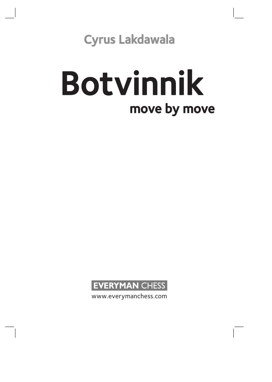Cyrus Lakdawala

# move by move Botvinnik



www.everymanchess.com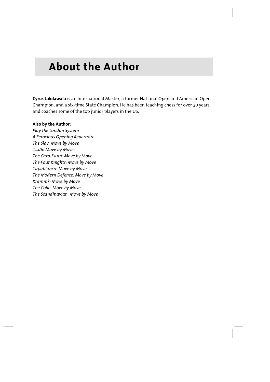# **About the Author**

**Cyrus Lakdawala** is an International Master, a former National Open and American Open Champion, and a six-time State Champion. He has been teaching chess for over 30 years, and coaches some of the top junior players in the US.

#### **Also by the Author:**

*Play the London System A Ferocious Opening Repertoire The Slav: Move by Move 1...d6: Move by Move The Caro-Kann: Move by Move The Four Knights: Move by Move Capablanca: Move by Move The Modern Defence: Move by Move Kramnik: Move by Move The Colle: Move by Move The Scandinavian: Move by Move*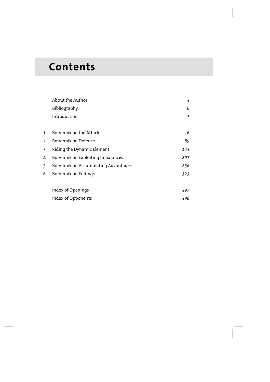# **Contents**

|                | About the Author                     | 3   |
|----------------|--------------------------------------|-----|
|                | Bibliography                         | 6   |
|                | Introduction                         | 7   |
|                |                                      |     |
| $\mathbf{1}$   | Botvinnik on the Attack              | 16  |
| $\overline{2}$ | Botvinnik on Defence                 | 89  |
| 3              | Riding the Dynamic Element           | 143 |
| 4              | Botvinnik on Exploiting Imbalances   | 207 |
| 5              | Botvinnik on Accumulating Advantages | 256 |
| 6              | Botvinnik on Endings                 | 323 |
|                |                                      |     |
|                | Index of Openings                    | 397 |
|                | Index of Opponents                   | 398 |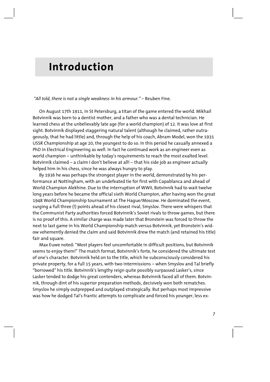## **Introduction**

#### *"All told, there is not a single weakness in his armour."* – Reuben Fine.

On August 17th 1911, in St Petersburg, a titan of the game entered the world. Mikhail Botvinnik was born to a dentist mother, and a father who was a dental technician. He learned chess at the unbelievably late age (for a world champion) of 12. It was love at first sight. Botvinnik displayed staggering natural talent (although he claimed, rather outrageously, that he had little) and, through the help of his coach, Abram Model, won the 1931 USSR Championship at age 20, the youngest to do so. In this period he casually annexed a PhD in Electrical Engineering as well. In fact he continued work as an engineer even as world champion – unthinkable by today's requirements to reach the most exalted level. Botvinnik claimed – a claim I don't believe at all! – that his side job as engineer actually helped him in his chess, since he was always hungry to play.

By 1936 he was perhaps the strongest player in the world, demonstrated by his performance at Nottingham, with an undefeated tie for first with Capablanca and ahead of World Champion Alekhine. Due to the interruption of WWII, Botvinnik had to wait twelve long years before he became the official sixth World Champion, after having won the great 1948 World Championship tournament at The Hague/Moscow. He dominated the event, surging a full three (!) points ahead of his closest rival, Smyslov. There were whispers that the Communist Party authorities forced Botvinnik's Soviet rivals to throw games, but there is no proof of this. A similar charge was made later that Bronstein was forced to throw the next to last game in his World Championship match versus Botvinnik, yet Bronstein's widow vehemently denied the claim and said Botvinnik drew the match (and retained his title) fair and square.

Max Euwe noted: "Most players feel uncomfortable in difficult positions, but Botvinnik seems to enjoy them!" The match format, Botvinnik's forte, he considered the ultimate test of one's character. Botvinnik held on to the title, which he subconsciously considered his private property, for a full 15 years, with two intermissions – when Smyslov and Tal briefly "borrowed" his title. Botvinnik's lengthy reign quite possibly surpassed Lasker's, since Lasker tended to dodge his great contenders, whereas Botvinnik faced all of them. Botvinnik, through dint of his superior preparation methods, decisively won both rematches. Smyslov he simply outprepped and outplayed strategically. But perhaps most impressive was how he dodged Tal's frantic attempts to complicate and forced his younger, less ex-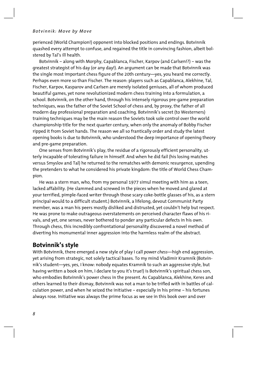perienced (World Champion!) opponent into blocked positions and endings. Botvinnik quashed every attempt to confuse, and regained the title in convincing fashion, albeit bolstered by Tal's ill health.

Botvinnik – along with Morphy, Capablanca, Fischer, Karpov (and Carlsen!?) – was the greatest strategist of his day (or any day!). An argument can be made that Botvinnik was the single most important chess figure of the 20th century—yes, you heard me correctly. Perhaps even more so than Fischer. The reason: players such as Capablanca, Alekhine, Tal, Fischer, Karpov, Kasparov and Carlsen are merely isolated geniuses, all of whom produced beautiful games, yet none revolutionized modern chess training into a formulation, a school. Botvinnik, on the other hand, through his intensely rigorous pre-game preparation techniques, was the father of the Soviet School of chess and, by proxy, the father of all modern day professional preparation and coaching. Botvinnik's secret (to Westerners) training techniques may be the main reason the Soviets took sole control over the world championship title for the next quarter century, when only the anomaly of Bobby Fischer ripped it from Soviet hands. The reason we all so frantically order and study the latest opening books is due to Botvinnik, who understood the deep importance of opening theory and pre-game preparation.

One senses from Botvinnik's play, the residue of a rigorously efficient personality, utterly incapable of tolerating failure in himself. And when he did fail (his losing matches versus Smyslov and Tal) he returned to the rematches with demonic resurgence, upending the pretenders to what he considered his private kingdom: the title of World Chess Champion.

He was a stern man, who, from my personal 1977 simul meeting with him as a teen, lacked affability. (He slammed and screwed in the pieces when he moved and glared at your terrified, pimple-faced writer through those scary coke-bottle glasses of his, as a stern principal would to a difficult student.) Botvinnik, a lifelong, devout Communist Party member, was a man his peers mostly disliked and distrusted, yet couldn't help but respect. He was prone to make outrageous overstatements on perceived character flaws of his rivals, and yet, one senses, never bothered to ponder any particular defects in his own. Through chess, this incredibly confrontational personality discovered a novel method of diverting his monumental inner aggression into the harmless realm of the abstract.

## **Botvinnik's style**

With Botvinnik, there emerged a new style of play I call *power chess*—high end aggression, yet arising from strategic, not solely tactical bases. To my mind Vladimir Kramnik (Botvinnik's student—yes, yes, I know: nobody equates Kramnik to such an aggressive style, but having written a book on him, I declare to you it's true!) is Botvinnik's spiritual chess son, who embodies Botvinnik's power chess in the present. As Capablanca, Alekhine, Keres and others learned to their dismay, Botvinnik was not a man to be trifled with in battles of calculation power, and when he seized the initiative – especially in his prime – his fortunes always rose. Initiative was always the prime focus as we see in this book over and over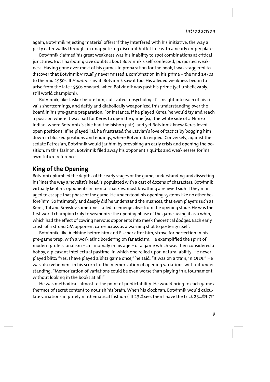again, Botvinnik rejecting material offers if they interfered with his initiative, the way a picky eater walks through an unappetizing discount buffet line with a nearly empty plate.

Botvinnik claimed his great weakness was his inability to spot combinations at critical junctures. But I harbour grave doubts about Botvinnik's self-confessed, purported weakness. Having gone over most of his games in preparation for the book, I was staggered to discover that Botvinnik virtually never missed a combination in his prime – the mid 1930s to the mid 1950s. If *Houdini* saw it, Botvinnik saw it too. His alleged weakness began to arise from the late 1950s onward, when Botvinnik was past his prime (yet unbelievably, still world champion!).

Botvinnik, like Lasker before him, cultivated a psychologist's insight into each of his rival's shortcomings, and deftly and diabolically weaponized this understanding over the board in his pre-game preparation. For instance, if he played Keres, he would try and reach a position where it was bad for Keres to open the game (e.g. the white side of a Nimzo-Indian, where Botvinnik's side had the bishop pair), and yet Botvinnik knew Keres loved open positions! If he played Tal, he frustrated the Latvian's love of tactics by bogging him down in blocked positions and endings, where Botvinnik reigned. Conversely, against the sedate Petrosian, Botvinnik would jar him by provoking an early crisis and opening the position. In this fashion, Botvinnik filed away his opponent's quirks and weaknesses for his own future reference.

## **King of the Opening**

Botvinnik plumbed the depths of the early stages of the game, understanding and dissecting his lines the way a novelist's head is populated with a cast of dozens of characters. Botvinnik virtually kept his opponents in mental shackles, most breathing a relieved sigh if they managed to escape that phase of the game. He understood his opening systems like no other before him. So intimately and deeply did he understand the nuances, that even players such as Keres, Tal and Smyslov sometimes failed to emerge alive from the opening stage. He was the first world champion truly to weaponize the opening phase of the game, using it as a whip, which had the effect of cowing nervous opponents into meek theoretical dodges. Each early crush of a strong GM opponent came across as a warning shot to posterity itself.

Botvinnik, like Alekhine before him and Fischer after him, strove for perfection in his pre-game prep, with a work ethic bordering on fanaticism. He exemplified the spirit of modern professionalism – an anomaly in his age – of a game which was then considered a hobby, a pleasant intellectual pastime, in which one relied upon natural ability. He never played blitz: "Yes, I have played a blitz game once," he said, "It was on a train, in 1929." He was also vehement in his scorn for the memorization of opening variations without understanding: "Memorization of variations could be even worse than playing in a tournament without looking in the books at all!"

He was methodical, almost to the point of predictability. He would bring to each game a thermos of secret content to nourish his brain. When his clock ran, Botvinnik would calculate variations in purely mathematical fashion ("If 23  $\mathbb{Z}$ xe6, then I have the trick 23...  $\mathbb{Z}$ h7!"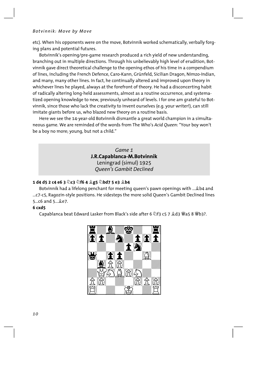etc). When his opponents were on the move, Botvinnik worked schematically, verbally forging plans and potential futures.

Botvinnik's opening/pre-game research produced a rich yield of new understanding, branching out in multiple directions. Through his unbelievably high level of erudition, Botvinnik gave direct theoretical challenge to the opening ethos of his time in a compendium of lines, including the French Defence, Caro-Kann, Grünfeld, Sicilian Dragon, Nimzo-Indian, and many, many other lines. In fact, he continually altered and improved upon theory in whichever lines he played, always at the forefront of theory. He had a disconcerting habit of radically altering long-held assessments, almost as a routine occurrence, and systematized opening knowledge to new, previously unheard of levels. I for one am grateful to Botvinnik, since those who lack the creativity to invent ourselves (e.g. your writer!), can still imitate giants before us, who blazed new theory on a routine basis.

Here we see the 14-year-old Botvinnik dismantle a great world champion in a simultaneous game. We are reminded of the words from The Who's *Acid Queen*: "Your boy won't be a boy no more; young, but not a child."

#### *Game 1*  **J.R.Capablanca-M.Botvinnik**  Leningrad (simul) 1925 *Queen's Gambit Declined*

#### **1 d4 d5 2 c4 e6 3 Ìc3 Ìf6 4 Íg5 Ìbd7 5 e3 Íb4**

Botvinnik had a lifelong penchant for meeting queen's pawn openings with ... \$b4 and ...c7-c5, Ragozin-style positions. He sidesteps the more solid Queen's Gambit Declined lines  $5...$ c6 and  $5...$  $2e7$ .

#### **6 cxd5**

Capablanca beat Edward Lasker from Black's side after 6 公f3 c5 7 奠d3 豐a5 8 豐b3?.

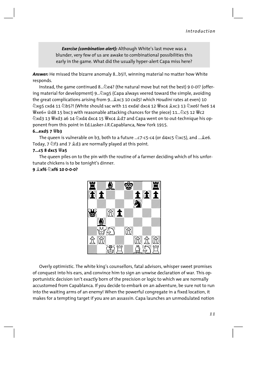Exercise (combination alert): Although White's last move was a blunder, very few of us are awake to combinational possibilities this early in the game. What did the usually hyper-alert Capa miss here?

Answer: He missed the bizarre anomaly 8...b5!!, winning material no matter how White responds.

Instead, the game continued 8... @e4? (the natural move but not the best) 9 0-0!? (offering material for development) 9... $\&$ xq5 (Capa always veered toward the simple, avoiding the great complications arising from 9... 2xc3 10 cxd5! which Houdini rates at even) 10 ②xq5 cxd4 11 公b5?! (White should sac with 11 exd4! dxc4 12 響xc4 拿xc3 13 公xe6! fxe6 14  $\mathcal{L}$ exe6+ $\mathcal{L}$ d8 15 bxc3 with reasonable attacking chances for the piece) 11... $\mathcal{L}$ c5 12  $\mathcal{L}$ c2 ②xd3 13 曾xd3 a6 14 ②xd4 dxc4 15 曾xc4 皇d7 and Capa went on to out-technique his opponent from this point in Ed.Lasker-J.R.Capablanca, New York 1915.

#### $6...$ exd5 7  $W$ b3

The queen is vulnerable on b3, both to a future ...c7-c5-c4 (or d4xc5  $\&$ xc5), and ... Le6. Today, 7  $\&$ f3 and 7  $\&$ d3 are normally played at this point.

#### 7... $c$ 5 8 dxc5  $\mathbb{W}$ a5

The queen piles on to the pin with the routine of a farmer deciding which of his unfortunate chickens is to be tonight's dinner.

#### $9 \text{ }\n\circledcirc$  xf6  $\circledcirc$  xf6 10 0-0-0?



Overly optimistic. The white king's counsellors, fatal advisors, whisper sweet promises of conquest into his ears, and convince him to sign an unwise declaration of war. This opportunistic decision isn't exactly born of the precision or logic to which we are normally accustomed from Capablanca. If you decide to embark on an adventure, be sure not to run into the waiting arms of an enemy! When the powerful congregate in a fixed location, it makes for a tempting target if you are an assassin. Capa launches an unmodulated notion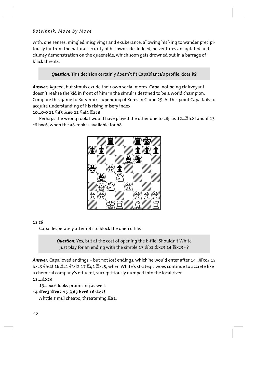with, one senses, mingled misgivings and exuberance, allowing his king to wander precipitously far from the natural security of his own side. Indeed, he ventures an agitated and clumsy demonstration on the queenside, which soon gets drowned out in a barrage of black threats.

Question: This decision certainly doesn't fit Capablanca's profile, does it?

Answer: Agreed, but simuls exude their own social mores. Capa, not being clairvoyant, doesn't realize the kid in front of him in the simul is destined to be a world champion. Compare this game to Botvinnik's upending of Keres in Game 25. At this point Capa fails to acquire understanding of his rising misery index.

#### 10...0-0 11 2f3 2e6 12 2d4 Iac8

Perhaps the wrong rook. I would have played the other one to c8; i.e. 12... Efc8! and if 13 c6 bxc6, when the a8-rook is available for b8.



#### 13 c<sub>6</sub>

Capa desperately attempts to block the open c-file.

**Question:** Yes, but at the cost of opening the b-file! Shouldn't White just play for an ending with the simple 13 \$b1 \$xc3 14 \cdots - ?

Answer: Capa loved endings - but not lost endings, which he would enter after 14... Wxc3 15 bxc3 @e4! 16 Ic1 @xf2 17 Iq1 Ixc5, when White's strategic woes continue to accrete like a chemical company's effluent, surreptitiously dumped into the local river.

#### 13... 2xc3

13...bxc6 looks promising as well.

### 14 Wxc3 Wxa2 15 2d3 bxc6 16 Sc2!

A little simul cheapo, threatening  $\Xi$ a1.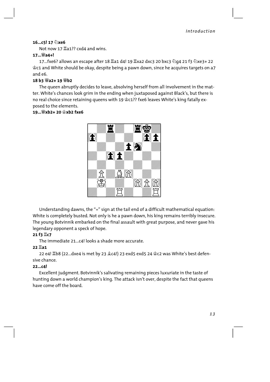#### $16...$ c5! 17  $\circled{}$  xe6

Not now 17  $\Xi$ a1?? cxd4 and wins

#### $17...$  4 $24+$ !

17...fxe6? allows an escape after 18 크a1 d4! 19 프xa2 dxc3 20 bxc3 ۞q4 21 f3 ۞xe3+ 22 ≌c1 and White should be okay, despite being a pawn down, since he acquires targets on a7 and e6.

#### 18 b3 Wa2+ 19 Wb2

The queen abruptly decides to leave, absolving herself from all involvement in the matter. White's chances look grim in the ending when juxtaposed against Black's, but there is no real choice since retaining queens with 19  $\&c1$ ?? fxe6 leaves White's king fatally exposed to the elements.

#### 19... 4xh2+ 20 \$xh2 fxe6



Understanding dawns, the "=" sign at the tail end of a difficult mathematical equation: White is completely busted. Not only is he a pawn down, his king remains terribly insecure. The young Botvinnik embarked on the final assault with great purpose, and never gave his legendary opponent a speck of hope.

#### 21 f3 耳c7

The immediate 21...c4! looks a shade more accurate.

#### $22$  $\overline{2}$ a1

22 e4! 骂b8 (22...dxe4 is met by 23  $$c4!$ ) 23 exd5 exd5 24  $$c2$  was White's best defensive chance.

#### $22...c4!$

Excellent judgment. Botvinnik's salivating remaining pieces luxuriate in the taste of hunting down a world champion's king. The attack isn't over, despite the fact that queens have come off the board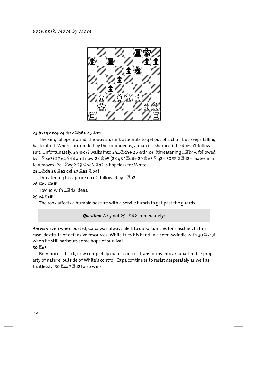

#### 23 bxc4 dxc4 24 奠c2 1b8+ 25 含c1

The king lollops around, the way a drunk attempts to get out of a chair but keeps falling back into it. When surrounded by the courageous, a man is ashamed if he doesn't follow suit. Unfortunately, 25  $\S$ c3? walks into 25... 145+26  $\S$ d4 c3! (threatening ... Ib4+, followed by ... ②xe3) 27 e4 ②f4 and now 28 ·e5 (28 q3? 罝d8+ 29 ·e3 ②q2+ 30 ·f2 罝d2+ mates in a few moves) 28... $\&$ xg2 29  $\&$ xe6  $\&$ b2 is hopeless for White.

#### 25... ad5 26 He1 c3! 27 Ha3 2b4!

Threatening to capture on c2, followed by ... Eb2+.

#### 28  $\S$ e2  $\S$ d8!

Toying with ... ad2 ideas.

#### 29 e4  $\P$ c6!

The rook affects a humble posture with a servile hunch to get past the guards.

Ouestion: Why not 29... Ed2 immediately?

**Answer:** Even when busted. Capa was always alert to opportunities for mischief. In this case, destitute of defensive resources, White tries his hand in a semi-swindle with 30  $\mathbb{Z}$ xc3! when he still harbours some hope of survival.

#### 30 **置e3**

Botvinnik's attack, now completely out of control, transforms into an unalterable property of nature, outside of White's control. Capa continues to resist desperately as well as fruitlessly. 30 Ixa7 Id2! also wins.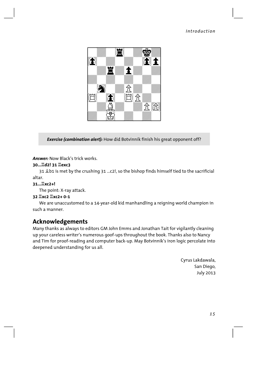

Exercise (combination alert): How did Botvinnik finish his great opponent off?

**Answer:** Now Black's trick works.

#### 30... ad2! 31 里exc3

31  $\triangle$ b1 is met by the crushing 31 ... c2!, so the bishop finds himself tied to the sacrificial altar.

#### 31... IXc2+!

The point: X-ray attack.

#### 

We are unaccustomed to a 14-year-old kid manhandling a reigning world champion in such a manner.

## **Acknowledgements**

Many thanks as always to editors GM John Emms and Jonathan Tait for vigilantly cleaning up your careless writer's numerous goof-ups throughout the book. Thanks also to Nancy and Tim for proof-reading and computer back-up. May Botvinnik's iron logic percolate into deepened understanding for us all.

> Cyrus Lakdawala, San Diego, July 2013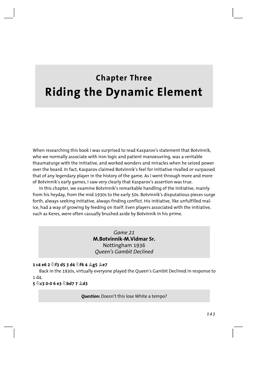# **Chapter Three Riding the Dynamic Element**

When researching this book I was surprised to read Kasparov's statement that Botvinnik, who we normally associate with iron logic and patient manoeuvring, was a veritable thaumaturge with the initiative, and worked wonders and miracles when he seized power over the board. In fact, Kasparov claimed Botvinnik's feel for initiative rivalled or surpassed that of any legendary player in the history of the game. As I went through more and more of Botvinnik's early games, I saw very clearly that Kasparov's assertion was true.

In this chapter, we examine Botvinnik's remarkable handling of the initiative, mainly from his heyday, from the mid 1930s to the early 50s. Botvinnik's disputatious pieces surge forth, always seeking initiative, always finding conflict. His initiative, like unfulfilled malice, had a way of growing by feeding on itself. Even players associated with the initiative, such as Keres, were often casually brushed aside by Botvinnik in his prime.

> *Game 21*  **M.Botvinnik-M.Vidmar Sr.** Nottingham 1936 *Queen's Gambit Declined*

#### **1 c4 e6 2 Ìf3 d5 3 d4 Ìf6 4 Íg5 Íe7**

Back in the 1930s, virtually everyone played the Queen's Gambit Declined in response to 1 d4.

#### **5 Ìc3 0-0 6 e3 Ìbd7 7 Íd3**

#### *Question:* Doesn't this lose White a tempo?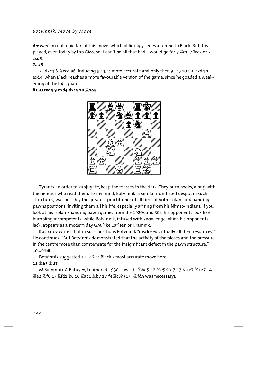*Answer:* I'm not a big fan of this move, which obligingly cedes a tempo to Black. But it is played, even today by top GMs, so it can't be all that bad. I would go for 7  $\mathbb{Z}$ c1, 7  $\mathbb{W}$ c2 or 7 cxd5.

#### **7...c5**

7...dxc4 8  $\&$ xc4 a6, inducing 9 a4, is more accurate and only then 9...c5 10 0-0 cxd4 11 exd4, when Black reaches a more favourable version of the game, since he goaded a weakening of the b4-square.

#### **8 0-0 cxd4 9 exd4 dxc4 10 Íxc4**



Tyrants, in order to subjugate, keep the masses in the dark. They burn books, along with the heretics who read them. To my mind, Botvinnik, a similar iron-fisted despot in such structures, was possibly the greatest practitioner of all time of both isolani and hanging pawns positions, inviting them all his life, especially arising from his Nimzo-Indians. If you look at his isolani/hanging pawn games from the 1920s and 30s, his opponents look like bumbling incompetents, while Botvinnik, infused with knowledge which his opponents lack, appears as a modern day GM, like Carlsen or Kramnik.

Kasparov writes that in such positions Botvinnik "disclosed virtually all their resources!" He continues: "But Botvinnik demonstrated that the activity of the pieces and the pressure in the centre more than compensate for the insignificant defect in the pawn structure." **10...Ìb6**

Botvinnik suggested 10...a6 as Black's most accurate move here.

#### **11 Íb3 Íd7**

M.Botvinnik-A.Batuyev, Leningrad 1930, saw 11...۞bd5 12 ۞e5 ۞d7 13 ⊈xe7 ۞xe7 14 Ëe2 Ìf6 15 Îfd1 b6 16 Îac1 Íb7 17 f3 Îc8? (17...Ìfd5 was necessary).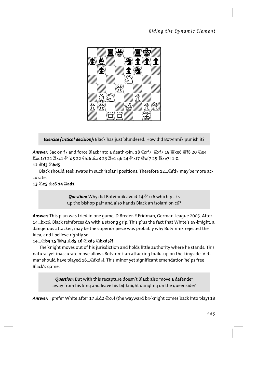

*Exercise (critical decision):* Black has just blundered. How did Botvinnik punish it?

**Answer:** Sac on f7 and force Black into a death-pin: 18 公xf7! 罝xf7 19 營xe6 營f8 20 名e4  $\xi$ xc1?! 21  $\xi$ xc1  $\Diamond$ fd5 22  $\Diamond$ d6  $\Diamond$ a8 23  $\xi$ e1 g6 24  $\Diamond$ xf7  $\xi$   $\xi$ xf7 25  $\xi$ xe7! 1-0.

#### **12 Ëd3 Ìbd5**

Black should seek swaps in such isolani positions. Therefore 12...... They may be more accurate.

#### **13 Ìe5 Íc6 14 Îad1**

**Question:** Why did Botvinnik avoid 14  $\triangle$ xc6 which picks up the bishop pair and also hands Black an isolani on c6?

*Answer:* This plan was tried in one game, D.Breder-R.Fridman, German League 2005. After 14...bxc6, Black reinforces d5 with a strong grip. This plus the fact that White's e5-knight, a dangerous attacker, may be the superior piece was probably why Botvinnik rejected the idea, and I believe rightly so.

#### **14...Ìb4 15 Ëh3 Íd5 16 Ìxd5 Ìbxd5?!**

The knight moves out of his jurisdiction and holds little authority where he stands. This natural yet inaccurate move allows Botvinnik an attacking build-up on the kingside. Vidmar should have played 16... $\triangle$ fxd5!. This minor yet significant emendation helps free Black's game.

> *Question:* But with this recapture doesn't Black also move a defender away from his king and leave his b4-knight dangling on the queenside?

Answer: I prefer White after 17  $\triangleleft$ d2  $\triangleright$ c6! (the wayward b4-knight comes back into play) 18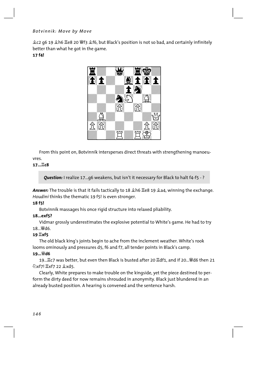Íc2 g6 19 Íh6 Îe8 20 Ëf3 Íf6, but Black's position is not so bad, and certainly infinitely better than what he got in the game. **17 f4!**



From this point on, Botvinnik intersperses direct threats with strengthening manoeuvres.

#### **17...Îc8**

*Question:* I realize 17...g6 weakens, but isn't it necessary for Black to halt f4-f5 - ?

**Answer:** The trouble is that it fails tactically to 18  $\triangle$  h6  $\triangle$  e8 19  $\triangle$  a4, winning the exchange. *Houdini* thinks the thematic 19 f5! is even stronger.

#### **18 f5!**

Botvinnik massages his once rigid structure into relaxed pliability.

#### **18...exf5?**

Vidmar grossly underestimates the explosive potential to White's game. He had to try 18... *Wid6*.

#### **19 Îxf5**

The old black king's joints begin to ache from the inclement weather. White's rook looms ominously and pressures d5, f6 and f7, all tender points in Black's camp.

#### **19...Ëd6**

19...置c7 was better, but even then Black is busted after 20 罝df1, and if 20...曾d6 then 21 **《xf7!**  $\angle$ **xf7 22 金xd5.** 

Clearly, White prepares to make trouble on the kingside, yet the piece destined to perform the dirty deed for now remains shrouded in anonymity. Black just blundered in an already busted position. A hearing is convened and the sentence harsh.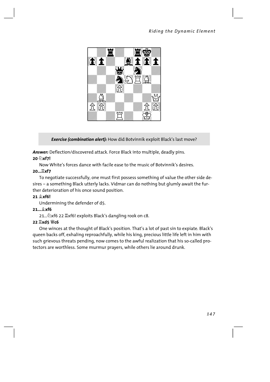

**Exercise (combination alert):** How did Botvinnik exploit Black's last move?

Answer: Deflection/discovered attack. Force Black into multiple, deadly pins. 20 2xf7!

Now White's forces dance with facile ease to the music of Botvinnik's desires.

#### 20... Lxf7

To negotiate successfully, one must first possess something of value the other side desires - a something Black utterly lacks. Vidmar can do nothing but glumly await the further deterioration of his once sound position.

#### 21 xf6!

Undermining the defender of d5.

#### $21...$  $X$ f6

21... ②xf6 22  $\mathbb{Z}$ xf6! exploits Black's dangling rook on c8.

#### 22 耳xd5 響c6

One winces at the thought of Black's position. That's a lot of past sin to expiate. Black's queen backs off, exhaling reproachfully, while his king, precious little life left in him with such grievous threats pending, now comes to the awful realization that his so-called protectors are worthless. Some murmur prayers, while others lie around drunk.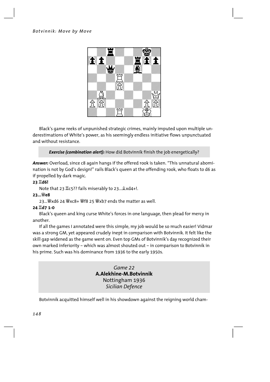

Black's game reeks of unpunished strategic crimes, mainly imputed upon multiple underestimations of White's power, as his seemingly endless initiative flows unpunctuated and without resistance.

*Exercise (combination alert):* How did Botvinnik finish the job energetically?

*Answer:* Overload, since c8 again hangs if the offered rook is taken. "This unnatural abomination is not by God's design!" rails Black's queen at the offending rook, who floats to d6 as if propelled by dark magic.

#### **23 Îd6!**

Note that 23  $\Sigma$ c5?? fails miserably to 23...  $\&$ xd4+!.

#### **23...Ëe8**

23... 讏xd6 24 響xc8+ 彎f8 25 彎xb7 ends the matter as well.

#### **24 Îd7 1-0**

Black's queen and king curse White's forces in one language, then plead for mercy in another.

If all the games I annotated were this simple, my job would be so much easier! Vidmar was a strong GM, yet appeared crudely inept in comparison with Botvinnik. It felt like the skill gap widened as the game went on. Even top GMs of Botvinnik's day recognized their own marked inferiority – which was almost shouted out – in comparison to Botvinnik in his prime. Such was his dominance from 1936 to the early 1950s.

> *Game 22*  **A.Alekhine-M.Botvinnik** Nottingham 1936 *Sicilian Defence*

Botvinnik acquitted himself well in his showdown against the reigning world cham-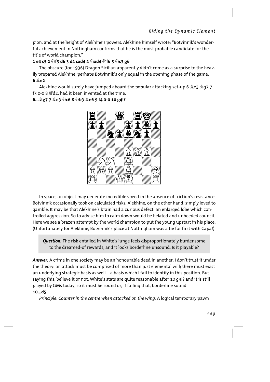pion, and at the height of Alekhine's powers. Alekhine himself wrote: "Botvinnik's wonderful achievement in Nottingham confirms that he is the most probable candidate for the title of world champion."

#### **1 e4 c5 2 Ìf3 d6 3 d4 cxd4 4 Ìxd4 Ìf6 5 Ìc3 g6**

The obscure (for 1936) Dragon Sicilian apparently didn't come as a surprise to the heavily prepared Alekhine, perhaps Botvinnik's only equal in the opening phase of the game. **6 Íe2**

Alekhine would surely have jumped aboard the popular attacking set-up 6  $2e3$   $2q7$ f3 0-0 8  $\mathcal{H}$ d2, had it been invented at the time.

#### **6...Íg7 7 Íe3 Ìc6 8 Ìb3 Íe6 9 f4 0-0 10 g4!?**



In space, an object may generate incredible speed in the absence of friction's resistance. Botvinnik occasionally took on calculated risks; Alekhine, on the other hand, simply loved to gamble. It may be that Alekhine's brain had a curious defect: an enlarged lobe which controlled aggression. So to advise him to calm down would be belated and unheeded council. Here we see a brazen attempt by the world champion to put the young upstart in his place. (Unfortunately for Alekhine, Botvinnik's place at Nottingham was a tie for first with Capa!)

*Question:* The risk entailed in White's lunge feels disproportionately burdensome to the dreamed-of rewards, and it looks borderline unsound. Is it playable?

*Answer:* A crime in one society may be an honourable deed in another. I don't trust it under the theory: an attack must be comprised of more than just elemental will; there must exist an underlying strategic basis as well – a basis which I fail to identify in this position. But saying this, believe it or not, White's stats are quite reasonable after 10 g4!? and it is still played by GMs today, so it must be sound or, if failing that, borderline sound.

#### **10...d5**

*Principle*: *Counter in the centre when attacked on the wing.* A logical temporary pawn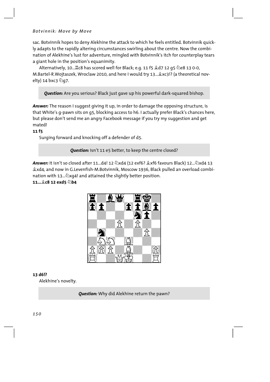sac. Botvinnik hopes to deny Alekhine the attack to which he feels entitled. Botvinnik quickly adapts to the rapidly altering circumstances swirling about the centre. Now the combination of Alekhine's lust for adventure, mingled with Botvinnik's itch for counterplay tears a giant hole in the position's equanimity.

Alternatively, 10...罝c8 has scored well for Black; e.g. 11 f5 皇d7 12 g5 公e8 13 0-0, M.Bartel-R.Wojtaszek, Wroclaw 2010, and here I would try 13... & xc3!? (a theoretical novelty) 14 bxc3 2g7.

*Question:* Are you serious? Black just gave up his powerful dark-squared bishop.

*Answer:* The reason I suggest giving it up, in order to damage the opposing structure, is that White's g-pawn sits on g5, blocking access to h6. I actually prefer Black's chances here, but please don't send me an angry Facebook message if you try my suggestion and get mated!

#### **11 f5**

Surging forward and knocking off a defender of d5.

**Ouestion:** Isn't 11 e5 better, to keep the centre closed?

**Answer:** It isn't so closed after 11...d4! 12  $\triangle$ xd4 (12 exf6?  $\triangle$ xf6 favours Black) 12... $\triangle$ xd4 13 Íxd4, and now in G.Levenfish-M.Botvinnik, Moscow 1936, Black pulled an overload combination with 13... $\&$ xg4! and attained the slightly better position.

#### **11...Íc8 12 exd5 Ìb4**



#### **13 d6!?**

Alekhine's novelty.

*Question:* Why did Alekhine return the pawn?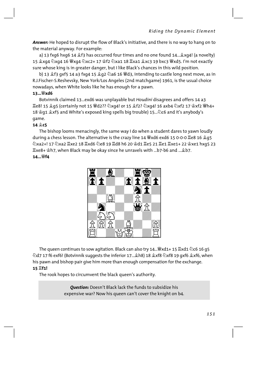Answer: He hoped to disrupt the flow of Black's initiative, and there is no way to hang on to the material anyway. For example:

a) 13 fxg6 hxg6 14  $f$  f3 has occurred four times and no one found 14... *x* xg4! (a novelty) 15  $\hat{\mathfrak{L}}$ xq4  $\hat{\mathfrak{Q}}$ xq4 16  $\hat{\mathfrak{W}}$ xq4  $\hat{\mathfrak{Q}}$ xc2+ 17  $\hat{\mathfrak{L}}$ f2  $\hat{\mathfrak{Q}}$ xa1 18  $\hat{\mathfrak{L}}$ xa1  $\hat{\mathfrak{L}}$ xc3 19 bxc3  $\hat{\mathfrak{W}}$ xd5. I'm not exactly sure whose king is in greater danger, but I like Black's chances in this wild position.

b) 13  $\frac{6}{3}$  f3 gxf5 14 a3 fxg4 15  $\frac{6}{3}$ g2  $\frac{7}{3}$ a6 16  $\frac{16}{3}$ d3, intending to castle long next move, as in R.J.Fischer-S.Reshevsky, New York/Los Angeles (2nd matchgame) 1961, is the usual choice nowadays, when White looks like he has enough for a pawn.

#### 13... Wxd6

Botvinnik claimed 13...exd6 was unplayable but Houdini disagrees and offers 14 a3 Ie8! 15 ହ୍ରq5 (certainly not 15 ��d2?? ۞xq4! or 15 ହ୍ର៌f2? ۞xq4! 16 axb4 ۞xf2 17 ହ୍ରହrf2 ��h4+ 18  $\circ$  q1  $\circ$  xf5 and White's exposed king spells big trouble) 15... 2c6 and it's anybody's game.

#### $14 \text{ } \textcircled{2}$  c5

The bishop looms menacingly, the same way I do when a student dares to yawn loudly during a chess lesson. The alternative is the crazy line 14 Wxd6 exd6 15 0-0-0 Le8 16 295 ixe8+ 샿h7, when Black may be okay since he unravels with ...b7-b6 and ... ⊈b7. 14…<sup>\@</sup>f4



The queen continues to sow agitation. Black can also try 14...曾xd1+ 15  $\mathbb{Z}$ xd1 公c6 16 q5  $\&$ d7 17 f6 exf6! (Botvinnik suggests the inferior 17... Åh8) 18  $\&$ xf8  $\&$ xf8 19 gxf6  $\&$ xf6, when his pawn and bishop pair give him more than enough compensation for the exchange.

#### 15 If1!

The rook hopes to circumvent the black queen's authority.

**Question:** Doesn't Black lack the funds to subsidize his expensive war? Now his queen can't cover the knight on b4.